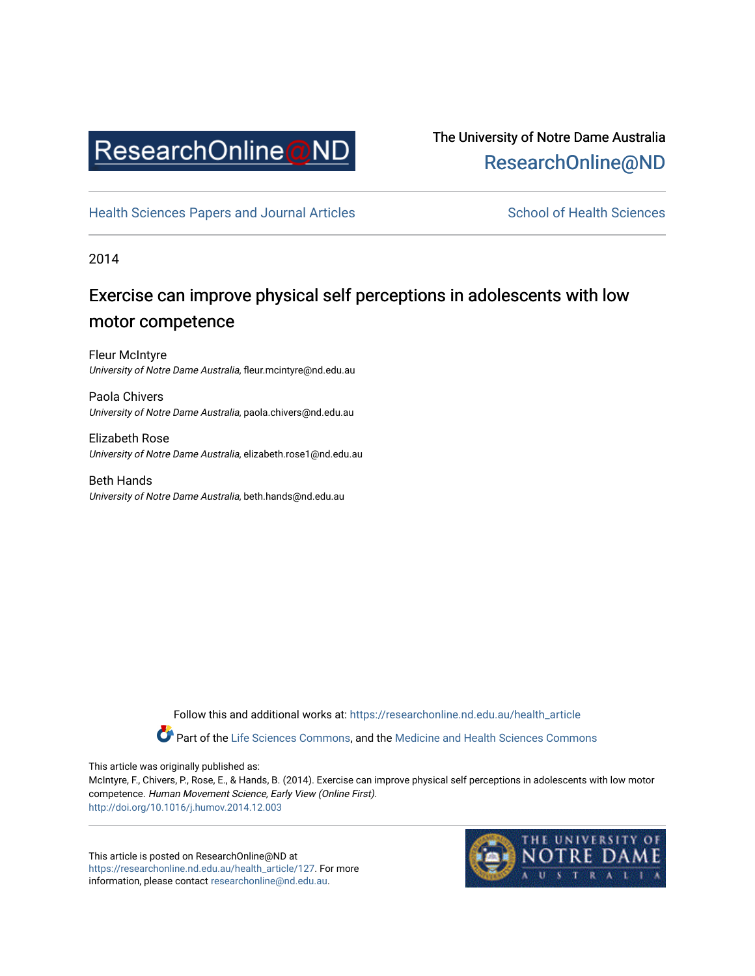

# The University of Notre Dame Australia [ResearchOnline@ND](https://researchonline.nd.edu.au/)

[Health Sciences Papers and Journal Articles](https://researchonline.nd.edu.au/health_article) School of Health Sciences

2014

# Exercise can improve physical self perceptions in adolescents with low motor competence

Fleur McIntyre University of Notre Dame Australia, fleur.mcintyre@nd.edu.au

Paola Chivers University of Notre Dame Australia, paola.chivers@nd.edu.au

Elizabeth Rose University of Notre Dame Australia, elizabeth.rose1@nd.edu.au

Beth Hands University of Notre Dame Australia, beth.hands@nd.edu.au

> Follow this and additional works at: [https://researchonline.nd.edu.au/health\\_article](https://researchonline.nd.edu.au/health_article?utm_source=researchonline.nd.edu.au%2Fhealth_article%2F127&utm_medium=PDF&utm_campaign=PDFCoverPages) Part of the [Life Sciences Commons](http://network.bepress.com/hgg/discipline/1016?utm_source=researchonline.nd.edu.au%2Fhealth_article%2F127&utm_medium=PDF&utm_campaign=PDFCoverPages), and the Medicine and Health Sciences Commons

This article was originally published as:

McIntyre, F., Chivers, P., Rose, E., & Hands, B. (2014). Exercise can improve physical self perceptions in adolescents with low motor competence. Human Movement Science, Early View (Online First). <http://doi.org/10.1016/j.humov.2014.12.003>

This article is posted on ResearchOnline@ND at [https://researchonline.nd.edu.au/health\\_article/127](https://researchonline.nd.edu.au/health_article/127). For more information, please contact [researchonline@nd.edu.au.](mailto:researchonline@nd.edu.au)

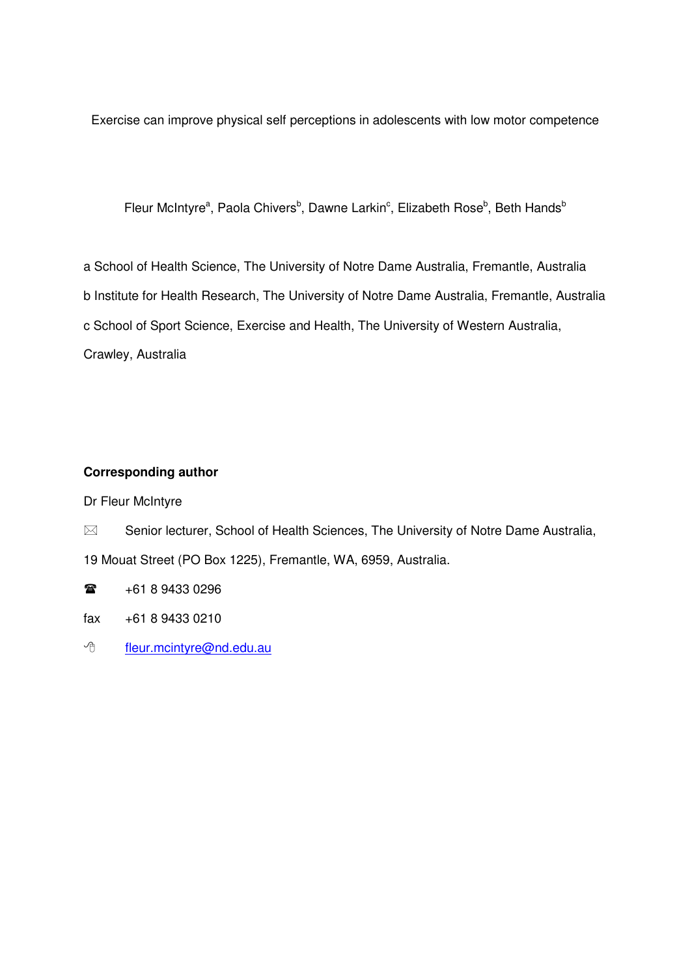Exercise can improve physical self perceptions in adolescents with low motor competence

Fleur McIntyre<sup>a</sup>, Paola Chivers<sup>b</sup>, Dawne Larkin<sup>c</sup>, Elizabeth Rose<sup>b</sup>, Beth Hands<sup>b</sup>

a School of Health Science, The University of Notre Dame Australia, Fremantle, Australia b Institute for Health Research, The University of Notre Dame Australia, Fremantle, Australia c School of Sport Science, Exercise and Health, The University of Western Australia, Crawley, Australia

## **Corresponding author**

Dr Fleur McIntyre

- $\boxtimes$  Senior lecturer, School of Health Sciences, The University of Notre Dame Australia, 19 Mouat Street (PO Box 1225), Fremantle, WA, 6959, Australia.
- $\mathbf{r}$ +61 8 9433 0296
- fax +61 8 9433 0210
- <sup>t</sup> fleur.mcintyre@nd.edu.au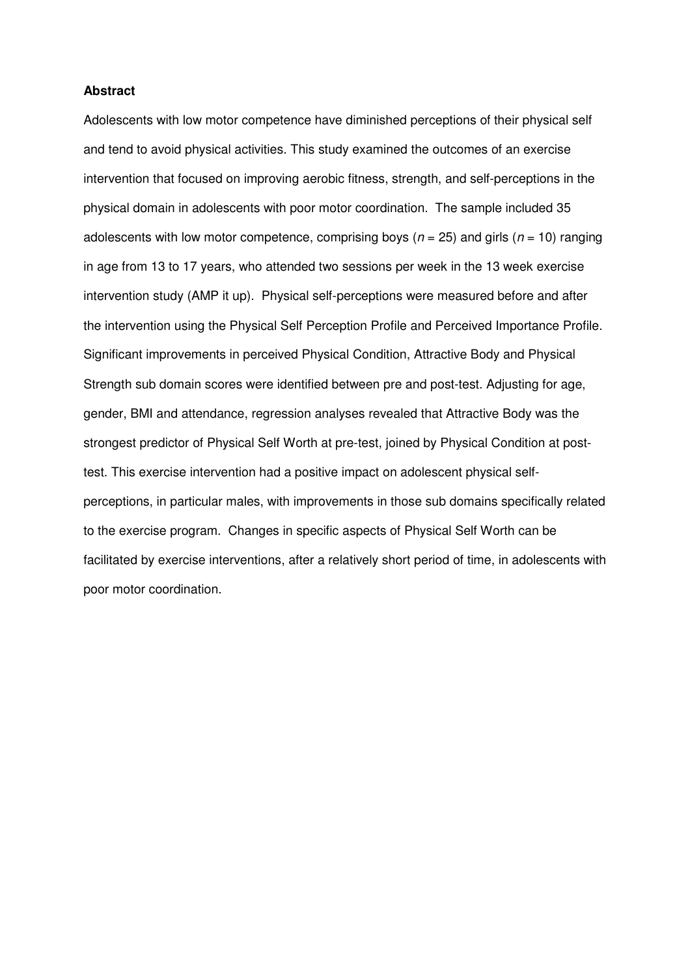#### **Abstract**

Adolescents with low motor competence have diminished perceptions of their physical self and tend to avoid physical activities. This study examined the outcomes of an exercise intervention that focused on improving aerobic fitness, strength, and self-perceptions in the physical domain in adolescents with poor motor coordination. The sample included 35 adolescents with low motor competence, comprising boys ( $n = 25$ ) and girls ( $n = 10$ ) ranging in age from 13 to 17 years, who attended two sessions per week in the 13 week exercise intervention study (AMP it up). Physical self-perceptions were measured before and after the intervention using the Physical Self Perception Profile and Perceived Importance Profile. Significant improvements in perceived Physical Condition, Attractive Body and Physical Strength sub domain scores were identified between pre and post-test. Adjusting for age, gender, BMI and attendance, regression analyses revealed that Attractive Body was the strongest predictor of Physical Self Worth at pre-test, joined by Physical Condition at posttest. This exercise intervention had a positive impact on adolescent physical selfperceptions, in particular males, with improvements in those sub domains specifically related to the exercise program. Changes in specific aspects of Physical Self Worth can be facilitated by exercise interventions, after a relatively short period of time, in adolescents with poor motor coordination.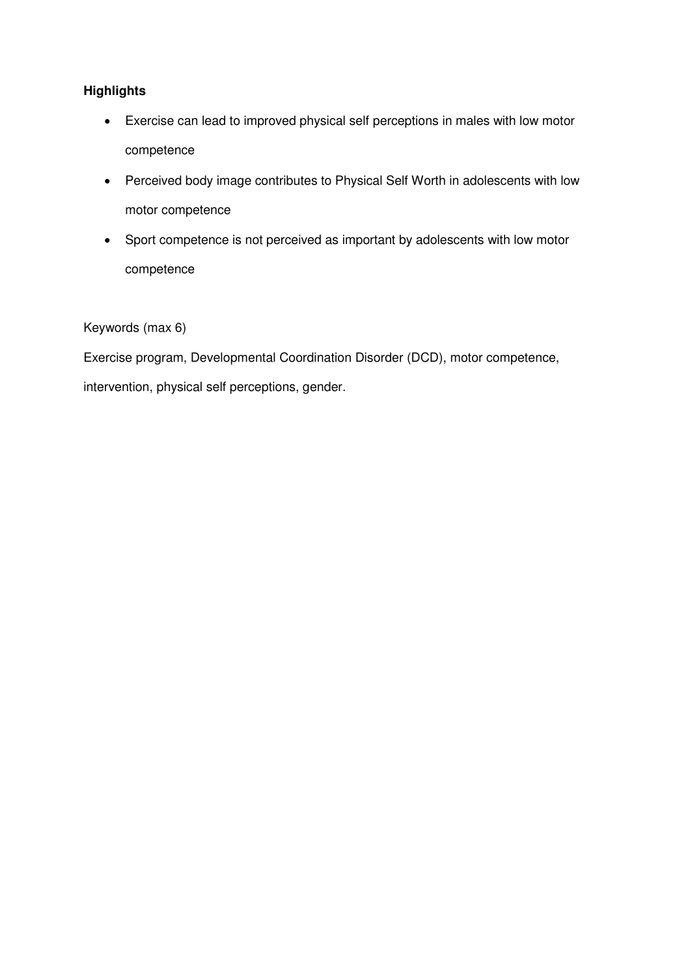# **Highlights**

- Exercise can lead to improved physical self perceptions in males with low motor competence
- Perceived body image contributes to Physical Self Worth in adolescents with low motor competence
- Sport competence is not perceived as important by adolescents with low motor competence

## Keywords (max 6)

Exercise program, Developmental Coordination Disorder (DCD), motor competence, intervention, physical self perceptions, gender.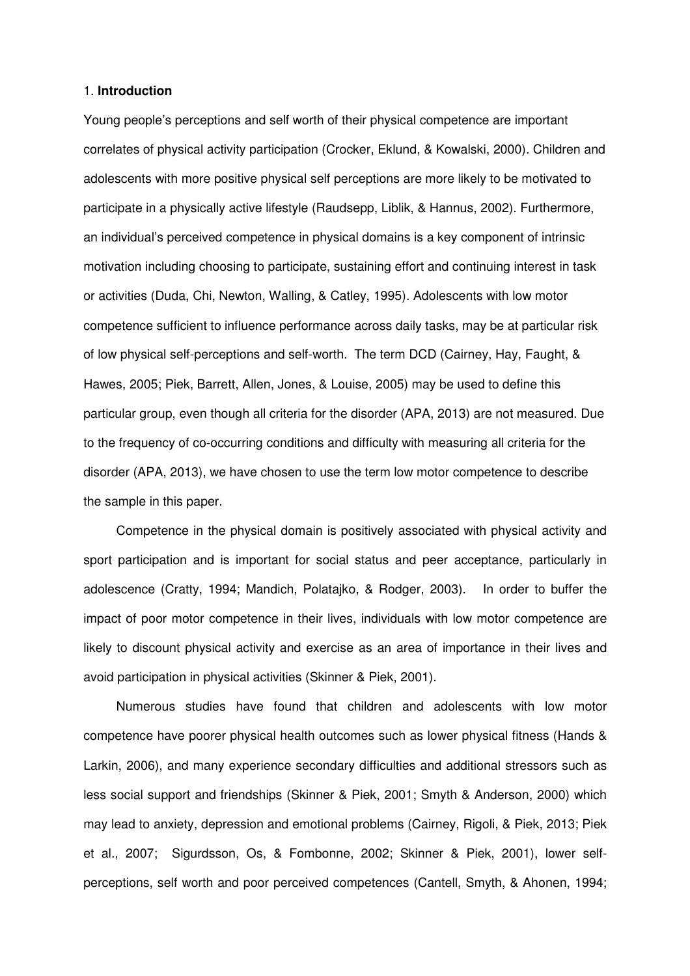#### 1. **Introduction**

Young people's perceptions and self worth of their physical competence are important correlates of physical activity participation (Crocker, Eklund, & Kowalski, 2000). Children and adolescents with more positive physical self perceptions are more likely to be motivated to participate in a physically active lifestyle (Raudsepp, Liblik, & Hannus, 2002). Furthermore, an individual's perceived competence in physical domains is a key component of intrinsic motivation including choosing to participate, sustaining effort and continuing interest in task or activities (Duda, Chi, Newton, Walling, & Catley, 1995). Adolescents with low motor competence sufficient to influence performance across daily tasks, may be at particular risk of low physical self-perceptions and self-worth. The term DCD (Cairney, Hay, Faught, & Hawes, 2005; Piek, Barrett, Allen, Jones, & Louise, 2005) may be used to define this particular group, even though all criteria for the disorder (APA, 2013) are not measured. Due to the frequency of co-occurring conditions and difficulty with measuring all criteria for the disorder (APA, 2013), we have chosen to use the term low motor competence to describe the sample in this paper.

Competence in the physical domain is positively associated with physical activity and sport participation and is important for social status and peer acceptance, particularly in adolescence (Cratty, 1994; Mandich, Polatajko, & Rodger, 2003). In order to buffer the impact of poor motor competence in their lives, individuals with low motor competence are likely to discount physical activity and exercise as an area of importance in their lives and avoid participation in physical activities (Skinner & Piek, 2001).

Numerous studies have found that children and adolescents with low motor competence have poorer physical health outcomes such as lower physical fitness (Hands & Larkin, 2006), and many experience secondary difficulties and additional stressors such as less social support and friendships (Skinner & Piek, 2001; Smyth & Anderson, 2000) which may lead to anxiety, depression and emotional problems (Cairney, Rigoli, & Piek, 2013; Piek et al., 2007; Sigurdsson, Os, & Fombonne, 2002; Skinner & Piek, 2001), lower selfperceptions, self worth and poor perceived competences (Cantell, Smyth, & Ahonen, 1994;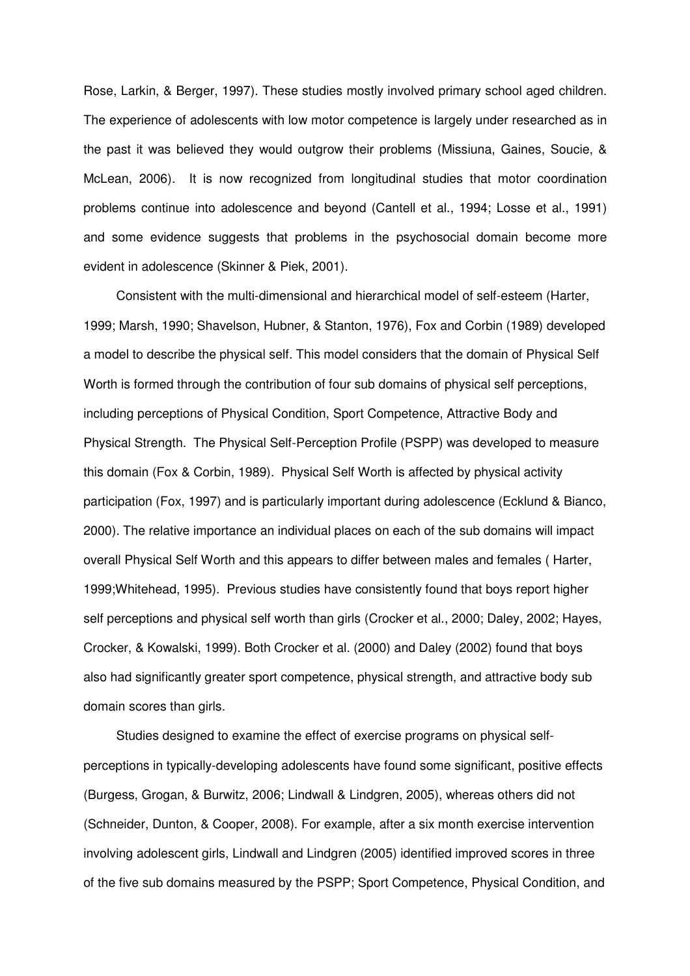Rose, Larkin, & Berger, 1997). These studies mostly involved primary school aged children. The experience of adolescents with low motor competence is largely under researched as in the past it was believed they would outgrow their problems (Missiuna, Gaines, Soucie, & McLean, 2006). It is now recognized from longitudinal studies that motor coordination problems continue into adolescence and beyond (Cantell et al., 1994; Losse et al., 1991) and some evidence suggests that problems in the psychosocial domain become more evident in adolescence (Skinner & Piek, 2001).

Consistent with the multi-dimensional and hierarchical model of self-esteem (Harter, 1999; Marsh, 1990; Shavelson, Hubner, & Stanton, 1976), Fox and Corbin (1989) developed a model to describe the physical self. This model considers that the domain of Physical Self Worth is formed through the contribution of four sub domains of physical self perceptions, including perceptions of Physical Condition, Sport Competence, Attractive Body and Physical Strength. The Physical Self-Perception Profile (PSPP) was developed to measure this domain (Fox & Corbin, 1989). Physical Self Worth is affected by physical activity participation (Fox, 1997) and is particularly important during adolescence (Ecklund & Bianco, 2000). The relative importance an individual places on each of the sub domains will impact overall Physical Self Worth and this appears to differ between males and females ( Harter, 1999;Whitehead, 1995). Previous studies have consistently found that boys report higher self perceptions and physical self worth than girls (Crocker et al., 2000; Daley, 2002; Hayes, Crocker, & Kowalski, 1999). Both Crocker et al. (2000) and Daley (2002) found that boys also had significantly greater sport competence, physical strength, and attractive body sub domain scores than girls.

Studies designed to examine the effect of exercise programs on physical selfperceptions in typically-developing adolescents have found some significant, positive effects (Burgess, Grogan, & Burwitz, 2006; Lindwall & Lindgren, 2005), whereas others did not (Schneider, Dunton, & Cooper, 2008). For example, after a six month exercise intervention involving adolescent girls, Lindwall and Lindgren (2005) identified improved scores in three of the five sub domains measured by the PSPP; Sport Competence, Physical Condition, and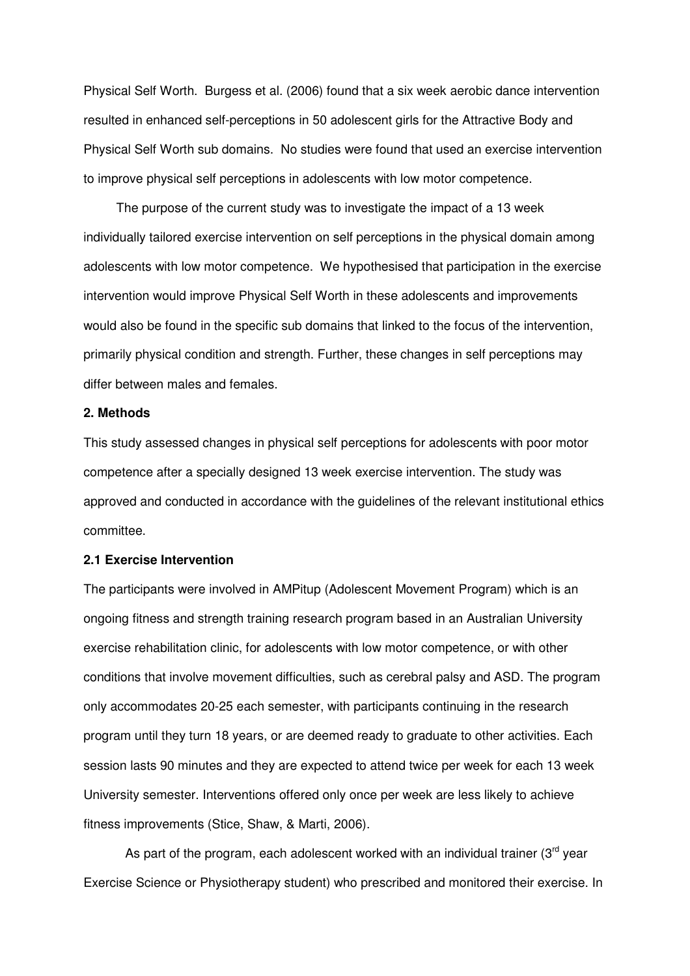Physical Self Worth. Burgess et al. (2006) found that a six week aerobic dance intervention resulted in enhanced self-perceptions in 50 adolescent girls for the Attractive Body and Physical Self Worth sub domains. No studies were found that used an exercise intervention to improve physical self perceptions in adolescents with low motor competence.

The purpose of the current study was to investigate the impact of a 13 week individually tailored exercise intervention on self perceptions in the physical domain among adolescents with low motor competence. We hypothesised that participation in the exercise intervention would improve Physical Self Worth in these adolescents and improvements would also be found in the specific sub domains that linked to the focus of the intervention, primarily physical condition and strength. Further, these changes in self perceptions may differ between males and females.

#### **2. Methods**

This study assessed changes in physical self perceptions for adolescents with poor motor competence after a specially designed 13 week exercise intervention. The study was approved and conducted in accordance with the guidelines of the relevant institutional ethics committee.

#### **2.1 Exercise Intervention**

The participants were involved in AMPitup (Adolescent Movement Program) which is an ongoing fitness and strength training research program based in an Australian University exercise rehabilitation clinic, for adolescents with low motor competence, or with other conditions that involve movement difficulties, such as cerebral palsy and ASD. The program only accommodates 20-25 each semester, with participants continuing in the research program until they turn 18 years, or are deemed ready to graduate to other activities. Each session lasts 90 minutes and they are expected to attend twice per week for each 13 week University semester. Interventions offered only once per week are less likely to achieve fitness improvements (Stice, Shaw, & Marti, 2006).

As part of the program, each adolescent worked with an individual trainer  $(3<sup>rd</sup>$  year Exercise Science or Physiotherapy student) who prescribed and monitored their exercise. In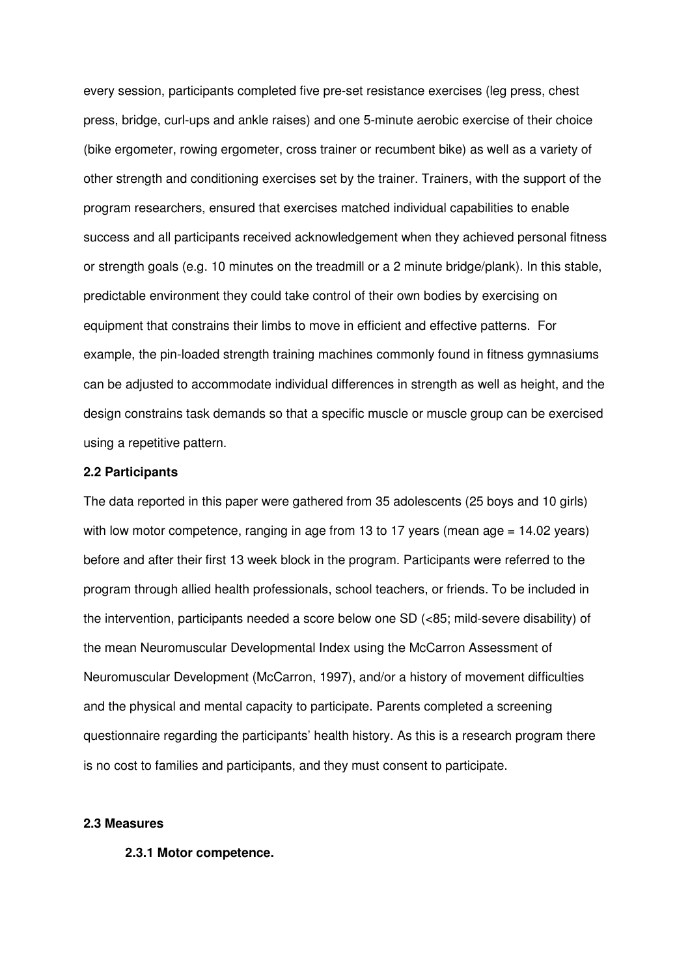every session, participants completed five pre-set resistance exercises (leg press, chest press, bridge, curl-ups and ankle raises) and one 5-minute aerobic exercise of their choice (bike ergometer, rowing ergometer, cross trainer or recumbent bike) as well as a variety of other strength and conditioning exercises set by the trainer. Trainers, with the support of the program researchers, ensured that exercises matched individual capabilities to enable success and all participants received acknowledgement when they achieved personal fitness or strength goals (e.g. 10 minutes on the treadmill or a 2 minute bridge/plank). In this stable, predictable environment they could take control of their own bodies by exercising on equipment that constrains their limbs to move in efficient and effective patterns. For example, the pin-loaded strength training machines commonly found in fitness gymnasiums can be adjusted to accommodate individual differences in strength as well as height, and the design constrains task demands so that a specific muscle or muscle group can be exercised using a repetitive pattern.

#### **2.2 Participants**

The data reported in this paper were gathered from 35 adolescents (25 boys and 10 girls) with low motor competence, ranging in age from 13 to 17 years (mean age = 14.02 years) before and after their first 13 week block in the program. Participants were referred to the program through allied health professionals, school teachers, or friends. To be included in the intervention, participants needed a score below one SD (<85; mild-severe disability) of the mean Neuromuscular Developmental Index using the McCarron Assessment of Neuromuscular Development (McCarron, 1997), and/or a history of movement difficulties and the physical and mental capacity to participate. Parents completed a screening questionnaire regarding the participants' health history. As this is a research program there is no cost to families and participants, and they must consent to participate.

#### **2.3 Measures**

#### **2.3.1 Motor competence.**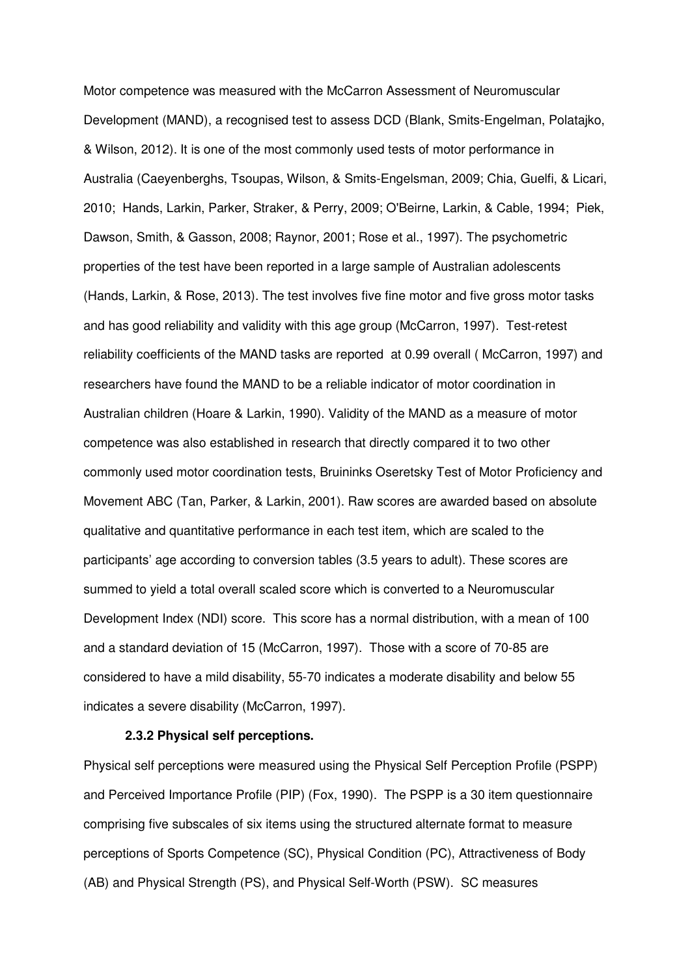Motor competence was measured with the McCarron Assessment of Neuromuscular Development (MAND), a recognised test to assess DCD (Blank, Smits-Engelman, Polatajko, & Wilson, 2012). It is one of the most commonly used tests of motor performance in Australia (Caeyenberghs, Tsoupas, Wilson, & Smits-Engelsman, 2009; Chia, Guelfi, & Licari, 2010; Hands, Larkin, Parker, Straker, & Perry, 2009; O'Beirne, Larkin, & Cable, 1994; Piek, Dawson, Smith, & Gasson, 2008; Raynor, 2001; Rose et al., 1997). The psychometric properties of the test have been reported in a large sample of Australian adolescents (Hands, Larkin, & Rose, 2013). The test involves five fine motor and five gross motor tasks and has good reliability and validity with this age group (McCarron, 1997). Test-retest reliability coefficients of the MAND tasks are reported at 0.99 overall ( McCarron, 1997) and researchers have found the MAND to be a reliable indicator of motor coordination in Australian children (Hoare & Larkin, 1990). Validity of the MAND as a measure of motor competence was also established in research that directly compared it to two other commonly used motor coordination tests, Bruininks Oseretsky Test of Motor Proficiency and Movement ABC (Tan, Parker, & Larkin, 2001). Raw scores are awarded based on absolute qualitative and quantitative performance in each test item, which are scaled to the participants' age according to conversion tables (3.5 years to adult). These scores are summed to yield a total overall scaled score which is converted to a Neuromuscular Development Index (NDI) score. This score has a normal distribution, with a mean of 100 and a standard deviation of 15 (McCarron, 1997). Those with a score of 70-85 are considered to have a mild disability, 55-70 indicates a moderate disability and below 55 indicates a severe disability (McCarron, 1997).

#### **2.3.2 Physical self perceptions.**

Physical self perceptions were measured using the Physical Self Perception Profile (PSPP) and Perceived Importance Profile (PIP) (Fox, 1990). The PSPP is a 30 item questionnaire comprising five subscales of six items using the structured alternate format to measure perceptions of Sports Competence (SC), Physical Condition (PC), Attractiveness of Body (AB) and Physical Strength (PS), and Physical Self-Worth (PSW). SC measures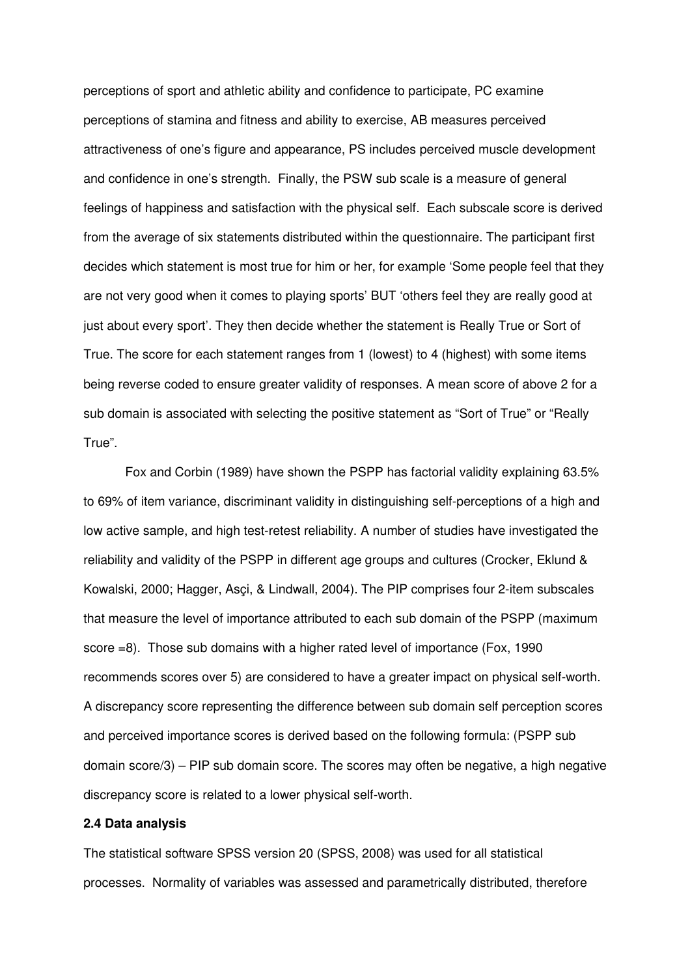perceptions of sport and athletic ability and confidence to participate, PC examine perceptions of stamina and fitness and ability to exercise, AB measures perceived attractiveness of one's figure and appearance, PS includes perceived muscle development and confidence in one's strength. Finally, the PSW sub scale is a measure of general feelings of happiness and satisfaction with the physical self. Each subscale score is derived from the average of six statements distributed within the questionnaire. The participant first decides which statement is most true for him or her, for example 'Some people feel that they are not very good when it comes to playing sports' BUT 'others feel they are really good at just about every sport'. They then decide whether the statement is Really True or Sort of True. The score for each statement ranges from 1 (lowest) to 4 (highest) with some items being reverse coded to ensure greater validity of responses. A mean score of above 2 for a sub domain is associated with selecting the positive statement as "Sort of True" or "Really True".

Fox and Corbin (1989) have shown the PSPP has factorial validity explaining 63.5% to 69% of item variance, discriminant validity in distinguishing self-perceptions of a high and low active sample, and high test-retest reliability. A number of studies have investigated the reliability and validity of the PSPP in different age groups and cultures (Crocker, Eklund & Kowalski, 2000; Hagger, Asçi, & Lindwall, 2004). The PIP comprises four 2-item subscales that measure the level of importance attributed to each sub domain of the PSPP (maximum score =8). Those sub domains with a higher rated level of importance (Fox, 1990 recommends scores over 5) are considered to have a greater impact on physical self-worth. A discrepancy score representing the difference between sub domain self perception scores and perceived importance scores is derived based on the following formula: (PSPP sub domain score/3) – PIP sub domain score. The scores may often be negative, a high negative discrepancy score is related to a lower physical self-worth.

#### **2.4 Data analysis**

The statistical software SPSS version 20 (SPSS, 2008) was used for all statistical processes. Normality of variables was assessed and parametrically distributed, therefore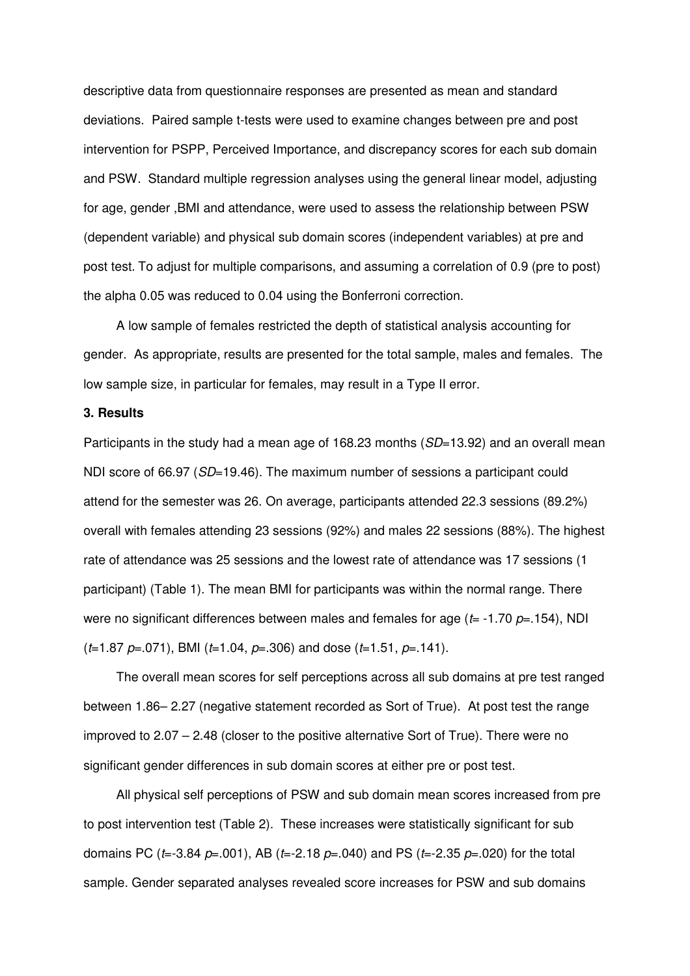descriptive data from questionnaire responses are presented as mean and standard deviations. Paired sample t-tests were used to examine changes between pre and post intervention for PSPP, Perceived Importance, and discrepancy scores for each sub domain and PSW. Standard multiple regression analyses using the general linear model, adjusting for age, gender ,BMI and attendance, were used to assess the relationship between PSW (dependent variable) and physical sub domain scores (independent variables) at pre and post test. To adjust for multiple comparisons, and assuming a correlation of 0.9 (pre to post) the alpha 0.05 was reduced to 0.04 using the Bonferroni correction.

A low sample of females restricted the depth of statistical analysis accounting for gender. As appropriate, results are presented for the total sample, males and females. The low sample size, in particular for females, may result in a Type II error.

#### **3. Results**

Participants in the study had a mean age of 168.23 months (SD=13.92) and an overall mean NDI score of 66.97 (SD=19.46). The maximum number of sessions a participant could attend for the semester was 26. On average, participants attended 22.3 sessions (89.2%) overall with females attending 23 sessions (92%) and males 22 sessions (88%). The highest rate of attendance was 25 sessions and the lowest rate of attendance was 17 sessions (1 participant) (Table 1). The mean BMI for participants was within the normal range. There were no significant differences between males and females for age ( $t=$  -1.70  $p=$  154), NDI  $(t=1.87 \, \text{p} = .071)$ , BMI ( $t=1.04$ ,  $\text{p} = .306$ ) and dose ( $t=1.51$ ,  $\text{p} = .141$ ).

The overall mean scores for self perceptions across all sub domains at pre test ranged between 1.86– 2.27 (negative statement recorded as Sort of True). At post test the range improved to 2.07 – 2.48 (closer to the positive alternative Sort of True). There were no significant gender differences in sub domain scores at either pre or post test.

All physical self perceptions of PSW and sub domain mean scores increased from pre to post intervention test (Table 2). These increases were statistically significant for sub domains PC ( $t=-3.84$   $p=0.001$ ), AB ( $t=-2.18$   $p=0.040$ ) and PS ( $t=-2.35$   $p=0.020$ ) for the total sample. Gender separated analyses revealed score increases for PSW and sub domains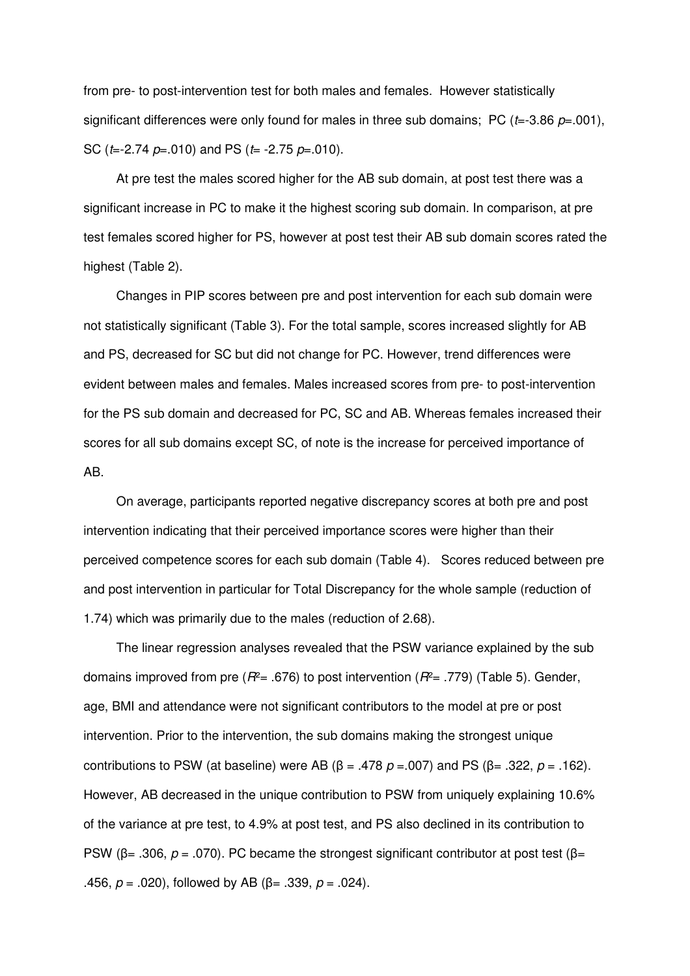from pre- to post-intervention test for both males and females. However statistically significant differences were only found for males in three sub domains; PC ( $t=3.86$   $p=.001$ ), SC ( $t=-2.74$   $p=-010$ ) and PS ( $t=-2.75$   $p=-010$ ).

At pre test the males scored higher for the AB sub domain, at post test there was a significant increase in PC to make it the highest scoring sub domain. In comparison, at pre test females scored higher for PS, however at post test their AB sub domain scores rated the highest (Table 2).

Changes in PIP scores between pre and post intervention for each sub domain were not statistically significant (Table 3). For the total sample, scores increased slightly for AB and PS, decreased for SC but did not change for PC. However, trend differences were evident between males and females. Males increased scores from pre- to post-intervention for the PS sub domain and decreased for PC, SC and AB. Whereas females increased their scores for all sub domains except SC, of note is the increase for perceived importance of AB.

On average, participants reported negative discrepancy scores at both pre and post intervention indicating that their perceived importance scores were higher than their perceived competence scores for each sub domain (Table 4). Scores reduced between pre and post intervention in particular for Total Discrepancy for the whole sample (reduction of 1.74) which was primarily due to the males (reduction of 2.68).

The linear regression analyses revealed that the PSW variance explained by the sub domains improved from pre ( $R^2$ = .676) to post intervention ( $R^2$ = .779) (Table 5). Gender, age, BMI and attendance were not significant contributors to the model at pre or post intervention. Prior to the intervention, the sub domains making the strongest unique contributions to PSW (at baseline) were AB (β = .478  $p = .007$ ) and PS (β = .322,  $p = .162$ ). However, AB decreased in the unique contribution to PSW from uniquely explaining 10.6% of the variance at pre test, to 4.9% at post test, and PS also declined in its contribution to PSW (β= .306,  $p = .070$ ). PC became the strongest significant contributor at post test (β= .456,  $p = .020$ ), followed by AB (β= .339,  $p = .024$ ).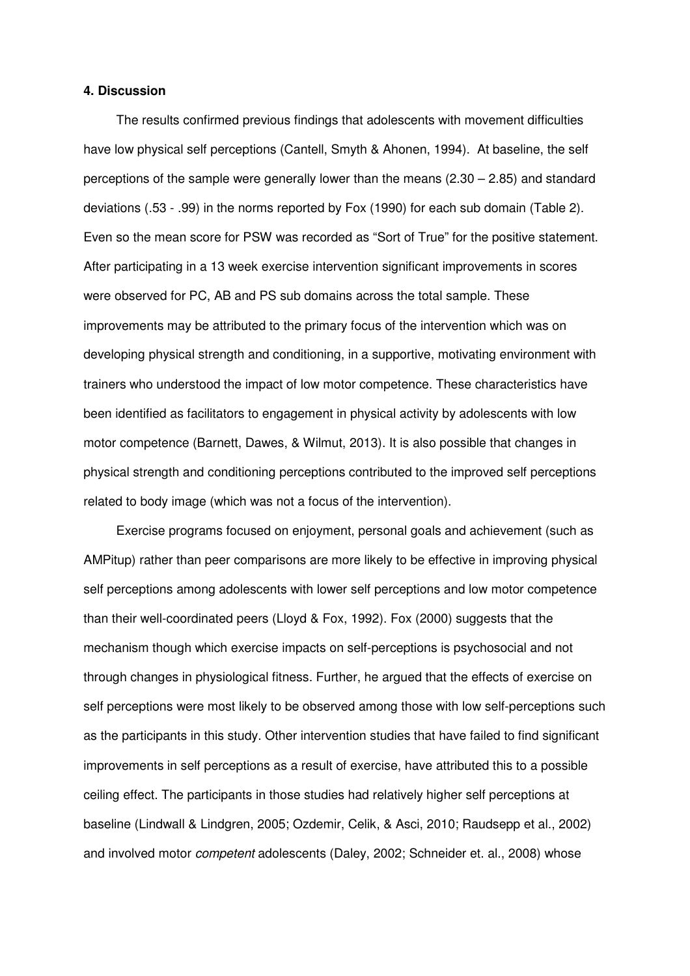#### **4. Discussion**

The results confirmed previous findings that adolescents with movement difficulties have low physical self perceptions (Cantell, Smyth & Ahonen, 1994). At baseline, the self perceptions of the sample were generally lower than the means (2.30 – 2.85) and standard deviations (.53 - .99) in the norms reported by Fox (1990) for each sub domain (Table 2). Even so the mean score for PSW was recorded as "Sort of True" for the positive statement. After participating in a 13 week exercise intervention significant improvements in scores were observed for PC, AB and PS sub domains across the total sample. These improvements may be attributed to the primary focus of the intervention which was on developing physical strength and conditioning, in a supportive, motivating environment with trainers who understood the impact of low motor competence. These characteristics have been identified as facilitators to engagement in physical activity by adolescents with low motor competence (Barnett, Dawes, & Wilmut, 2013). It is also possible that changes in physical strength and conditioning perceptions contributed to the improved self perceptions related to body image (which was not a focus of the intervention).

Exercise programs focused on enjoyment, personal goals and achievement (such as AMPitup) rather than peer comparisons are more likely to be effective in improving physical self perceptions among adolescents with lower self perceptions and low motor competence than their well-coordinated peers (Lloyd & Fox, 1992). Fox (2000) suggests that the mechanism though which exercise impacts on self-perceptions is psychosocial and not through changes in physiological fitness. Further, he argued that the effects of exercise on self perceptions were most likely to be observed among those with low self-perceptions such as the participants in this study. Other intervention studies that have failed to find significant improvements in self perceptions as a result of exercise, have attributed this to a possible ceiling effect. The participants in those studies had relatively higher self perceptions at baseline (Lindwall & Lindgren, 2005; Ozdemir, Celik, & Asci, 2010; Raudsepp et al., 2002) and involved motor competent adolescents (Daley, 2002; Schneider et. al., 2008) whose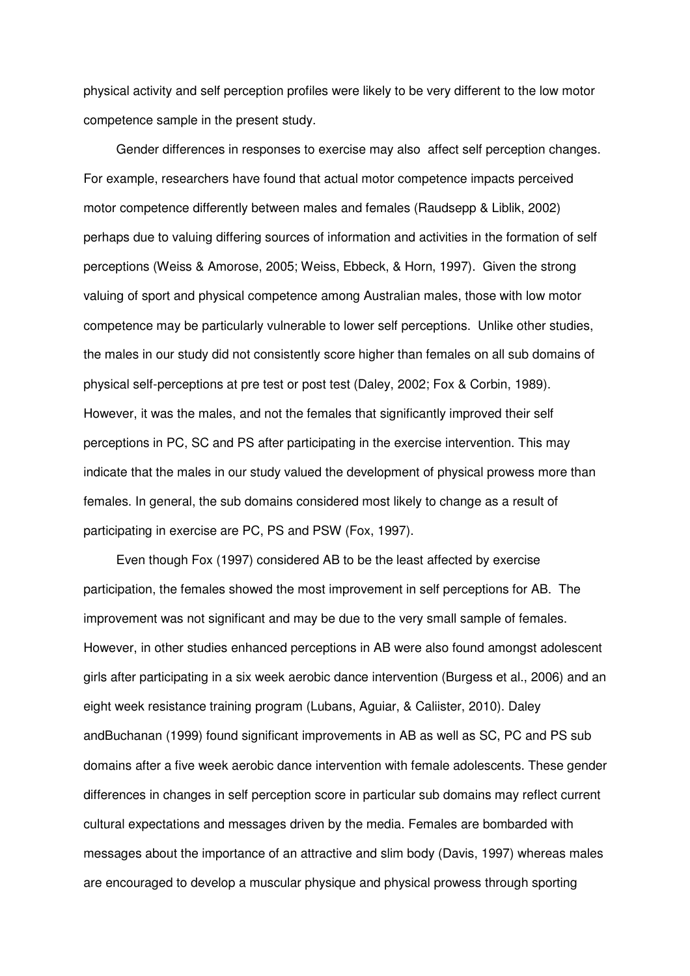physical activity and self perception profiles were likely to be very different to the low motor competence sample in the present study.

Gender differences in responses to exercise may also affect self perception changes. For example, researchers have found that actual motor competence impacts perceived motor competence differently between males and females (Raudsepp & Liblik, 2002) perhaps due to valuing differing sources of information and activities in the formation of self perceptions (Weiss & Amorose, 2005; Weiss, Ebbeck, & Horn, 1997). Given the strong valuing of sport and physical competence among Australian males, those with low motor competence may be particularly vulnerable to lower self perceptions. Unlike other studies, the males in our study did not consistently score higher than females on all sub domains of physical self-perceptions at pre test or post test (Daley, 2002; Fox & Corbin, 1989). However, it was the males, and not the females that significantly improved their self perceptions in PC, SC and PS after participating in the exercise intervention. This may indicate that the males in our study valued the development of physical prowess more than females. In general, the sub domains considered most likely to change as a result of participating in exercise are PC, PS and PSW (Fox, 1997).

Even though Fox (1997) considered AB to be the least affected by exercise participation, the females showed the most improvement in self perceptions for AB. The improvement was not significant and may be due to the very small sample of females. However, in other studies enhanced perceptions in AB were also found amongst adolescent girls after participating in a six week aerobic dance intervention (Burgess et al., 2006) and an eight week resistance training program (Lubans, Aguiar, & Caliister, 2010). Daley andBuchanan (1999) found significant improvements in AB as well as SC, PC and PS sub domains after a five week aerobic dance intervention with female adolescents. These gender differences in changes in self perception score in particular sub domains may reflect current cultural expectations and messages driven by the media. Females are bombarded with messages about the importance of an attractive and slim body (Davis, 1997) whereas males are encouraged to develop a muscular physique and physical prowess through sporting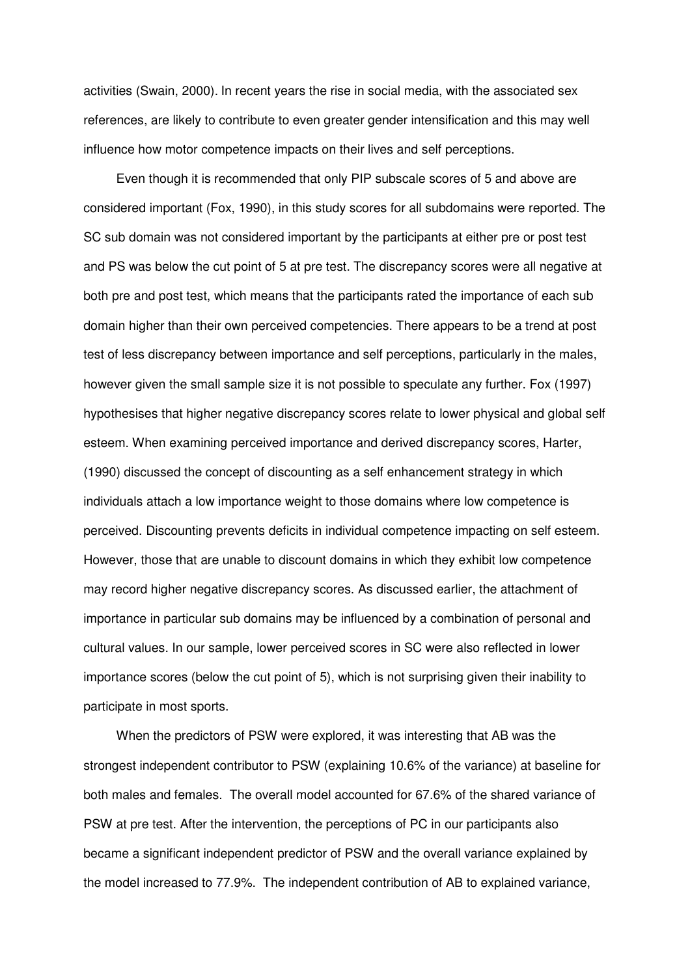activities (Swain, 2000). In recent years the rise in social media, with the associated sex references, are likely to contribute to even greater gender intensification and this may well influence how motor competence impacts on their lives and self perceptions.

Even though it is recommended that only PIP subscale scores of 5 and above are considered important (Fox, 1990), in this study scores for all subdomains were reported. The SC sub domain was not considered important by the participants at either pre or post test and PS was below the cut point of 5 at pre test. The discrepancy scores were all negative at both pre and post test, which means that the participants rated the importance of each sub domain higher than their own perceived competencies. There appears to be a trend at post test of less discrepancy between importance and self perceptions, particularly in the males, however given the small sample size it is not possible to speculate any further. Fox (1997) hypothesises that higher negative discrepancy scores relate to lower physical and global self esteem. When examining perceived importance and derived discrepancy scores, Harter, (1990) discussed the concept of discounting as a self enhancement strategy in which individuals attach a low importance weight to those domains where low competence is perceived. Discounting prevents deficits in individual competence impacting on self esteem. However, those that are unable to discount domains in which they exhibit low competence may record higher negative discrepancy scores. As discussed earlier, the attachment of importance in particular sub domains may be influenced by a combination of personal and cultural values. In our sample, lower perceived scores in SC were also reflected in lower importance scores (below the cut point of 5), which is not surprising given their inability to participate in most sports.

When the predictors of PSW were explored, it was interesting that AB was the strongest independent contributor to PSW (explaining 10.6% of the variance) at baseline for both males and females. The overall model accounted for 67.6% of the shared variance of PSW at pre test. After the intervention, the perceptions of PC in our participants also became a significant independent predictor of PSW and the overall variance explained by the model increased to 77.9%. The independent contribution of AB to explained variance,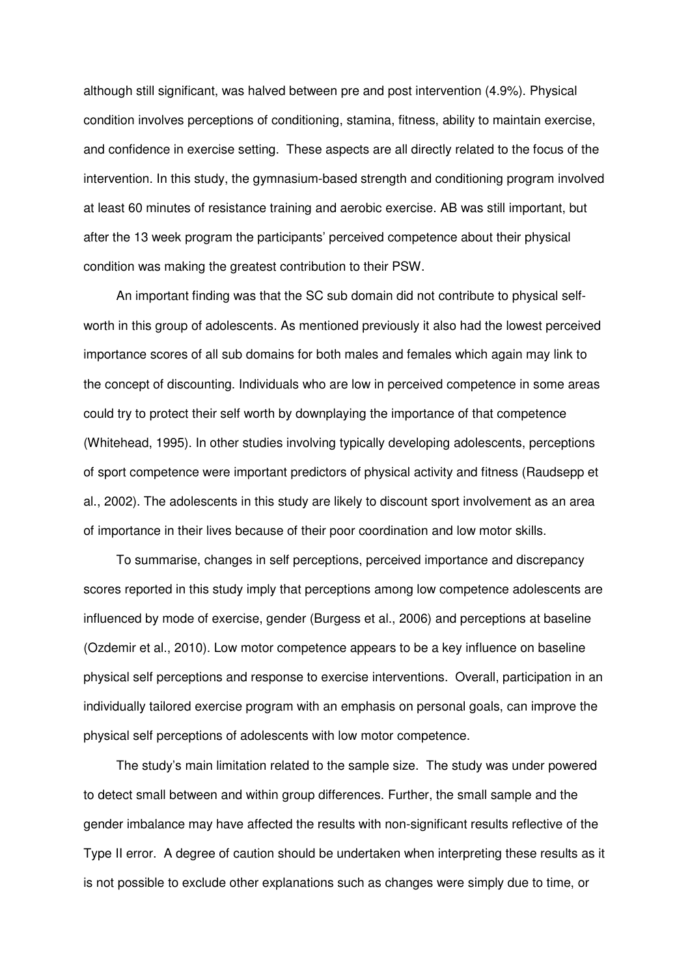although still significant, was halved between pre and post intervention (4.9%). Physical condition involves perceptions of conditioning, stamina, fitness, ability to maintain exercise, and confidence in exercise setting. These aspects are all directly related to the focus of the intervention. In this study, the gymnasium-based strength and conditioning program involved at least 60 minutes of resistance training and aerobic exercise. AB was still important, but after the 13 week program the participants' perceived competence about their physical condition was making the greatest contribution to their PSW.

An important finding was that the SC sub domain did not contribute to physical selfworth in this group of adolescents. As mentioned previously it also had the lowest perceived importance scores of all sub domains for both males and females which again may link to the concept of discounting. Individuals who are low in perceived competence in some areas could try to protect their self worth by downplaying the importance of that competence (Whitehead, 1995). In other studies involving typically developing adolescents, perceptions of sport competence were important predictors of physical activity and fitness (Raudsepp et al., 2002). The adolescents in this study are likely to discount sport involvement as an area of importance in their lives because of their poor coordination and low motor skills.

To summarise, changes in self perceptions, perceived importance and discrepancy scores reported in this study imply that perceptions among low competence adolescents are influenced by mode of exercise, gender (Burgess et al., 2006) and perceptions at baseline (Ozdemir et al., 2010). Low motor competence appears to be a key influence on baseline physical self perceptions and response to exercise interventions. Overall, participation in an individually tailored exercise program with an emphasis on personal goals, can improve the physical self perceptions of adolescents with low motor competence.

The study's main limitation related to the sample size. The study was under powered to detect small between and within group differences. Further, the small sample and the gender imbalance may have affected the results with non-significant results reflective of the Type II error. A degree of caution should be undertaken when interpreting these results as it is not possible to exclude other explanations such as changes were simply due to time, or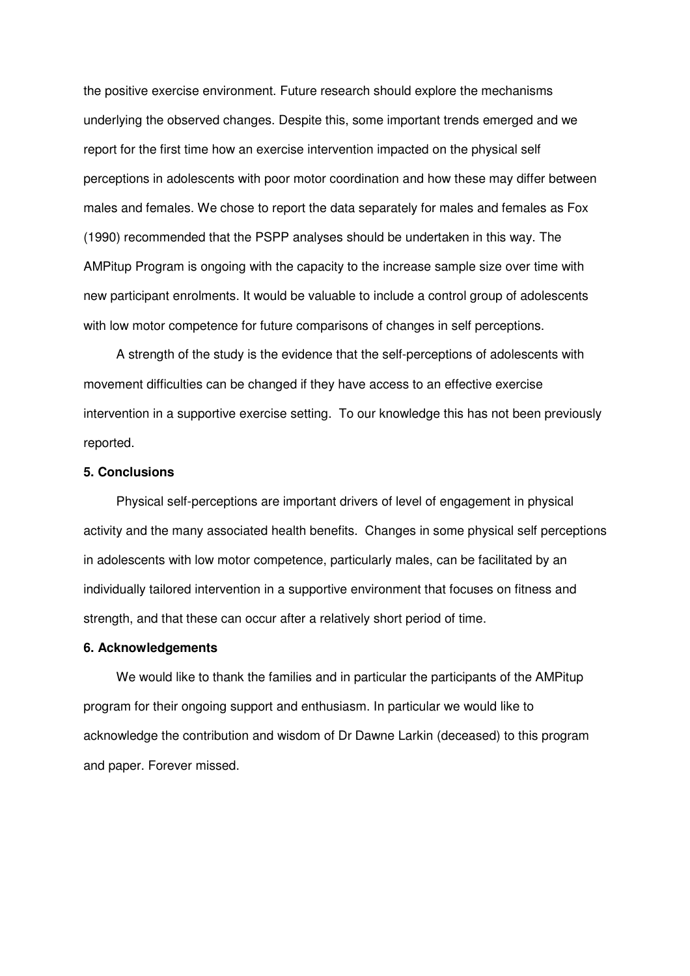the positive exercise environment. Future research should explore the mechanisms underlying the observed changes. Despite this, some important trends emerged and we report for the first time how an exercise intervention impacted on the physical self perceptions in adolescents with poor motor coordination and how these may differ between males and females. We chose to report the data separately for males and females as Fox (1990) recommended that the PSPP analyses should be undertaken in this way. The AMPitup Program is ongoing with the capacity to the increase sample size over time with new participant enrolments. It would be valuable to include a control group of adolescents with low motor competence for future comparisons of changes in self perceptions.

A strength of the study is the evidence that the self-perceptions of adolescents with movement difficulties can be changed if they have access to an effective exercise intervention in a supportive exercise setting. To our knowledge this has not been previously reported.

#### **5. Conclusions**

Physical self-perceptions are important drivers of level of engagement in physical activity and the many associated health benefits. Changes in some physical self perceptions in adolescents with low motor competence, particularly males, can be facilitated by an individually tailored intervention in a supportive environment that focuses on fitness and strength, and that these can occur after a relatively short period of time.

#### **6. Acknowledgements**

We would like to thank the families and in particular the participants of the AMPitup program for their ongoing support and enthusiasm. In particular we would like to acknowledge the contribution and wisdom of Dr Dawne Larkin (deceased) to this program and paper. Forever missed.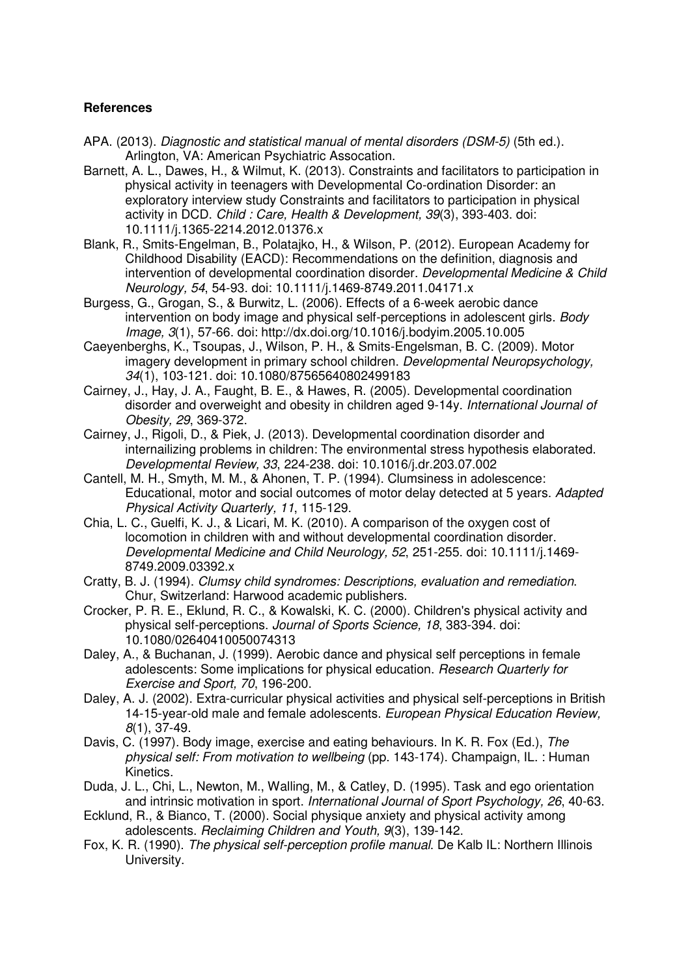### **References**

- APA. (2013). Diagnostic and statistical manual of mental disorders (DSM-5) (5th ed.). Arlington, VA: American Psychiatric Assocation.
- Barnett, A. L., Dawes, H., & Wilmut, K. (2013). Constraints and facilitators to participation in physical activity in teenagers with Developmental Co-ordination Disorder: an exploratory interview study Constraints and facilitators to participation in physical activity in DCD. Child : Care, Health & Development, 39(3), 393-403. doi: 10.1111/j.1365-2214.2012.01376.x
- Blank, R., Smits-Engelman, B., Polatajko, H., & Wilson, P. (2012). European Academy for Childhood Disability (EACD): Recommendations on the definition, diagnosis and intervention of developmental coordination disorder. Developmental Medicine & Child Neurology, 54, 54-93. doi: 10.1111/j.1469-8749.2011.04171.x
- Burgess, G., Grogan, S., & Burwitz, L. (2006). Effects of a 6-week aerobic dance intervention on body image and physical self-perceptions in adolescent girls. Body Image, 3(1), 57-66. doi: http://dx.doi.org/10.1016/j.bodyim.2005.10.005
- Caeyenberghs, K., Tsoupas, J., Wilson, P. H., & Smits-Engelsman, B. C. (2009). Motor imagery development in primary school children. Developmental Neuropsychology, 34(1), 103-121. doi: 10.1080/87565640802499183
- Cairney, J., Hay, J. A., Faught, B. E., & Hawes, R. (2005). Developmental coordination disorder and overweight and obesity in children aged 9-14y. International Journal of Obesity, 29, 369-372.
- Cairney, J., Rigoli, D., & Piek, J. (2013). Developmental coordination disorder and internailizing problems in children: The environmental stress hypothesis elaborated. Developmental Review, 33, 224-238. doi: 10.1016/j.dr.203.07.002
- Cantell, M. H., Smyth, M. M., & Ahonen, T. P. (1994). Clumsiness in adolescence: Educational, motor and social outcomes of motor delay detected at 5 years. Adapted Physical Activity Quarterly, 11, 115-129.
- Chia, L. C., Guelfi, K. J., & Licari, M. K. (2010). A comparison of the oxygen cost of locomotion in children with and without developmental coordination disorder. Developmental Medicine and Child Neurology, 52, 251-255. doi: 10.1111/j.1469- 8749.2009.03392.x
- Cratty, B. J. (1994). Clumsy child syndromes: Descriptions, evaluation and remediation. Chur, Switzerland: Harwood academic publishers.
- Crocker, P. R. E., Eklund, R. C., & Kowalski, K. C. (2000). Children's physical activity and physical self-perceptions. Journal of Sports Science, 18, 383-394. doi: 10.1080/02640410050074313
- Daley, A., & Buchanan, J. (1999). Aerobic dance and physical self perceptions in female adolescents: Some implications for physical education. Research Quarterly for Exercise and Sport, 70, 196-200.
- Daley, A. J. (2002). Extra-curricular physical activities and physical self-perceptions in British 14-15-year-old male and female adolescents. European Physical Education Review, 8(1), 37-49.
- Davis, C. (1997). Body image, exercise and eating behaviours. In K. R. Fox (Ed.), The physical self: From motivation to wellbeing (pp. 143-174). Champaign, IL. : Human Kinetics.
- Duda, J. L., Chi, L., Newton, M., Walling, M., & Catley, D. (1995). Task and ego orientation and intrinsic motivation in sport. International Journal of Sport Psychology, 26, 40-63.
- Ecklund, R., & Bianco, T. (2000). Social physique anxiety and physical activity among adolescents. Reclaiming Children and Youth, 9(3), 139-142.
- Fox, K. R. (1990). The physical self-perception profile manual. De Kalb IL: Northern Illinois University.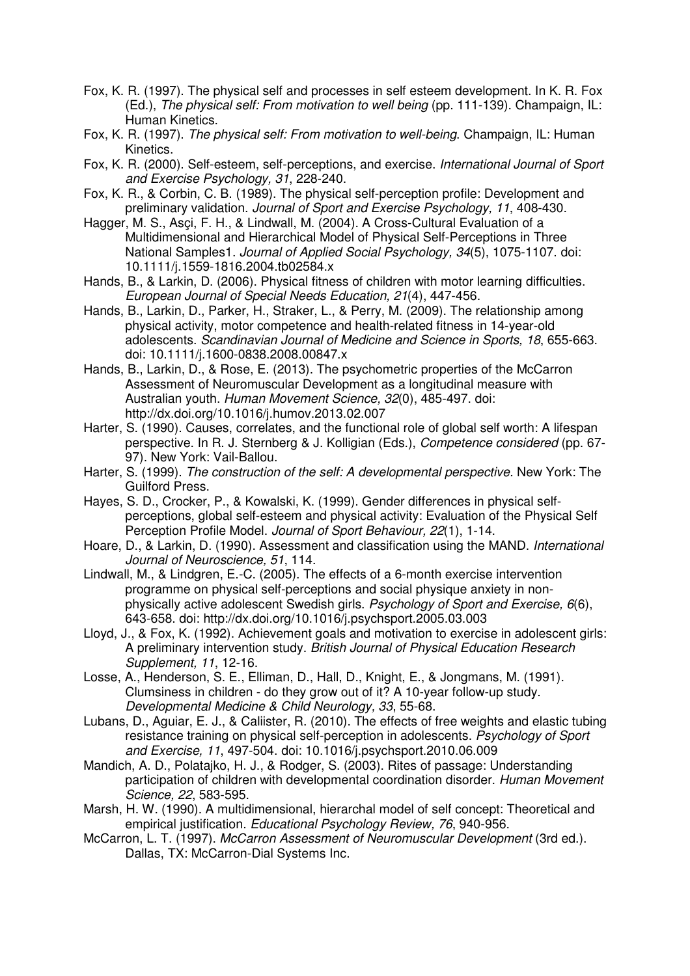- Fox, K. R. (1997). The physical self and processes in self esteem development. In K. R. Fox (Ed.), The physical self: From motivation to well being (pp. 111-139). Champaign, IL: Human Kinetics.
- Fox, K. R. (1997). The physical self: From motivation to well-being. Champaign, IL: Human Kinetics.
- Fox, K. R. (2000). Self-esteem, self-perceptions, and exercise. International Journal of Sport and Exercise Psychology, 31, 228-240.
- Fox, K. R., & Corbin, C. B. (1989). The physical self-perception profile: Development and preliminary validation. Journal of Sport and Exercise Psychology, 11, 408-430.
- Hagger, M. S., Asçi, F. H., & Lindwall, M. (2004). A Cross-Cultural Evaluation of a Multidimensional and Hierarchical Model of Physical Self-Perceptions in Three National Samples1. Journal of Applied Social Psychology, 34(5), 1075-1107. doi: 10.1111/j.1559-1816.2004.tb02584.x
- Hands, B., & Larkin, D. (2006). Physical fitness of children with motor learning difficulties. European Journal of Special Needs Education, 21(4), 447-456.
- Hands, B., Larkin, D., Parker, H., Straker, L., & Perry, M. (2009). The relationship among physical activity, motor competence and health-related fitness in 14-year-old adolescents. Scandinavian Journal of Medicine and Science in Sports, 18, 655-663. doi: 10.1111/j.1600-0838.2008.00847.x
- Hands, B., Larkin, D., & Rose, E. (2013). The psychometric properties of the McCarron Assessment of Neuromuscular Development as a longitudinal measure with Australian youth. Human Movement Science, 32(0), 485-497. doi: http://dx.doi.org/10.1016/j.humov.2013.02.007
- Harter, S. (1990). Causes, correlates, and the functional role of global self worth: A lifespan perspective. In R. J. Sternberg & J. Kolligian (Eds.), Competence considered (pp. 67- 97). New York: Vail-Ballou.
- Harter, S. (1999). The construction of the self: A developmental perspective. New York: The Guilford Press.
- Hayes, S. D., Crocker, P., & Kowalski, K. (1999). Gender differences in physical selfperceptions, global self-esteem and physical activity: Evaluation of the Physical Self Perception Profile Model. Journal of Sport Behaviour, 22(1), 1-14.
- Hoare, D., & Larkin, D. (1990). Assessment and classification using the MAND. International Journal of Neuroscience, 51, 114.
- Lindwall, M., & Lindgren, E.-C. (2005). The effects of a 6-month exercise intervention programme on physical self-perceptions and social physique anxiety in nonphysically active adolescent Swedish girls. Psychology of Sport and Exercise, 6(6), 643-658. doi: http://dx.doi.org/10.1016/j.psychsport.2005.03.003
- Lloyd, J., & Fox, K. (1992). Achievement goals and motivation to exercise in adolescent girls: A preliminary intervention study. British Journal of Physical Education Research Supplement, 11, 12-16.
- Losse, A., Henderson, S. E., Elliman, D., Hall, D., Knight, E., & Jongmans, M. (1991). Clumsiness in children - do they grow out of it? A 10-year follow-up study. Developmental Medicine & Child Neurology, 33, 55-68.
- Lubans, D., Aguiar, E. J., & Caliister, R. (2010). The effects of free weights and elastic tubing resistance training on physical self-perception in adolescents. Psychology of Sport and Exercise, 11, 497-504. doi: 10.1016/j.psychsport.2010.06.009
- Mandich, A. D., Polatajko, H. J., & Rodger, S. (2003). Rites of passage: Understanding participation of children with developmental coordination disorder. Human Movement Science, 22, 583-595.
- Marsh, H. W. (1990). A multidimensional, hierarchal model of self concept: Theoretical and empirical justification. Educational Psychology Review, 76, 940-956.
- McCarron, L. T. (1997). McCarron Assessment of Neuromuscular Development (3rd ed.). Dallas, TX: McCarron-Dial Systems Inc.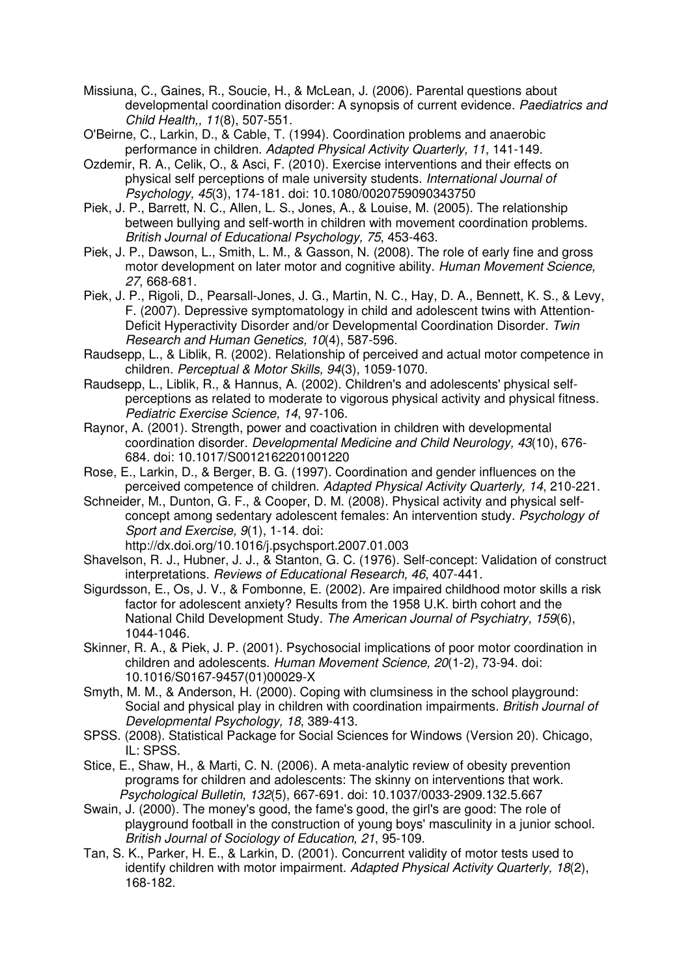- Missiuna, C., Gaines, R., Soucie, H., & McLean, J. (2006). Parental questions about developmental coordination disorder: A synopsis of current evidence. Paediatrics and Child Health,, 11(8), 507-551.
- O'Beirne, C., Larkin, D., & Cable, T. (1994). Coordination problems and anaerobic performance in children. Adapted Physical Activity Quarterly, 11, 141-149.
- Ozdemir, R. A., Celik, O., & Asci, F. (2010). Exercise interventions and their effects on physical self perceptions of male university students. International Journal of Psychology, 45(3), 174-181. doi: 10.1080/0020759090343750
- Piek, J. P., Barrett, N. C., Allen, L. S., Jones, A., & Louise, M. (2005). The relationship between bullying and self-worth in children with movement coordination problems. British Journal of Educational Psychology, 75, 453-463.
- Piek, J. P., Dawson, L., Smith, L. M., & Gasson, N. (2008). The role of early fine and gross motor development on later motor and cognitive ability. Human Movement Science, 27, 668-681.
- Piek, J. P., Rigoli, D., Pearsall-Jones, J. G., Martin, N. C., Hay, D. A., Bennett, K. S., & Levy, F. (2007). Depressive symptomatology in child and adolescent twins with Attention-Deficit Hyperactivity Disorder and/or Developmental Coordination Disorder. Twin Research and Human Genetics, 10(4), 587-596.
- Raudsepp, L., & Liblik, R. (2002). Relationship of perceived and actual motor competence in children. Perceptual & Motor Skills, 94(3), 1059-1070.
- Raudsepp, L., Liblik, R., & Hannus, A. (2002). Children's and adolescents' physical selfperceptions as related to moderate to vigorous physical activity and physical fitness. Pediatric Exercise Science, 14, 97-106.
- Raynor, A. (2001). Strength, power and coactivation in children with developmental coordination disorder. Developmental Medicine and Child Neurology, 43(10), 676- 684. doi: 10.1017/S0012162201001220
- Rose, E., Larkin, D., & Berger, B. G. (1997). Coordination and gender influences on the perceived competence of children. Adapted Physical Activity Quarterly, 14, 210-221.
- Schneider, M., Dunton, G. F., & Cooper, D. M. (2008). Physical activity and physical selfconcept among sedentary adolescent females: An intervention study. Psychology of Sport and Exercise, 9(1), 1-14. doi:

http://dx.doi.org/10.1016/j.psychsport.2007.01.003

- Shavelson, R. J., Hubner, J. J., & Stanton, G. C. (1976). Self-concept: Validation of construct interpretations. Reviews of Educational Research, 46, 407-441.
- Sigurdsson, E., Os, J. V., & Fombonne, E. (2002). Are impaired childhood motor skills a risk factor for adolescent anxiety? Results from the 1958 U.K. birth cohort and the National Child Development Study. The American Journal of Psychiatry, 159(6), 1044-1046.
- Skinner, R. A., & Piek, J. P. (2001). Psychosocial implications of poor motor coordination in children and adolescents. Human Movement Science, 20(1-2), 73-94. doi: 10.1016/S0167-9457(01)00029-X
- Smyth, M. M., & Anderson, H. (2000). Coping with clumsiness in the school playground: Social and physical play in children with coordination impairments. British Journal of Developmental Psychology, 18, 389-413.
- SPSS. (2008). Statistical Package for Social Sciences for Windows (Version 20). Chicago, IL: SPSS.
- Stice, E., Shaw, H., & Marti, C. N. (2006). A meta-analytic review of obesity prevention programs for children and adolescents: The skinny on interventions that work. Psychological Bulletin, 132(5), 667-691. doi: 10.1037/0033-2909.132.5.667
- Swain, J. (2000). The money's good, the fame's good, the girl's are good: The role of playground football in the construction of young boys' masculinity in a junior school. British Journal of Sociology of Education, 21, 95-109.
- Tan, S. K., Parker, H. E., & Larkin, D. (2001). Concurrent validity of motor tests used to identify children with motor impairment. Adapted Physical Activity Quarterly, 18(2), 168-182.